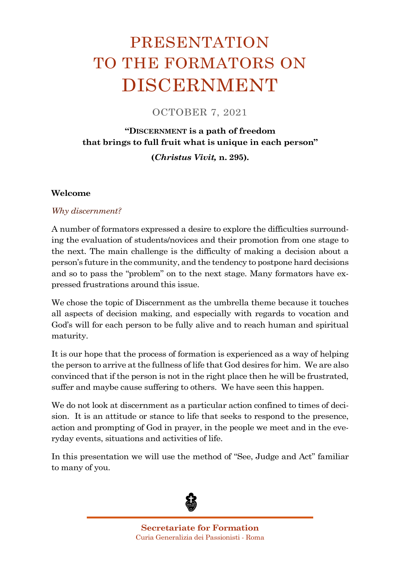# PRESENTATION TO THE FORMATORS ON DISCERNMENT

OCTOBER 7, 2021

## **"DISCERNMENT is a path of freedom that brings to full fruit what is unique in each person"**

**(***Christus Vivit,* **n. 295).**

#### **Welcome**

#### *Why discernment?*

A number of formators expressed a desire to explore the difficulties surrounding the evaluation of students/novices and their promotion from one stage to the next. The main challenge is the difficulty of making a decision about a person's future in the community, and the tendency to postpone hard decisions and so to pass the "problem" on to the next stage. Many formators have expressed frustrations around this issue.

We chose the topic of Discernment as the umbrella theme because it touches all aspects of decision making, and especially with regards to vocation and God's will for each person to be fully alive and to reach human and spiritual maturity.

It is our hope that the process of formation is experienced as a way of helping the person to arrive at the fullness of life that God desires for him. We are also convinced that if the person is not in the right place then he will be frustrated, suffer and maybe cause suffering to others. We have seen this happen.

We do not look at discernment as a particular action confined to times of decision. It is an attitude or stance to life that seeks to respond to the presence, action and prompting of God in prayer, in the people we meet and in the everyday events, situations and activities of life.

In this presentation we will use the method of "See, Judge and Act" familiar to many of you.

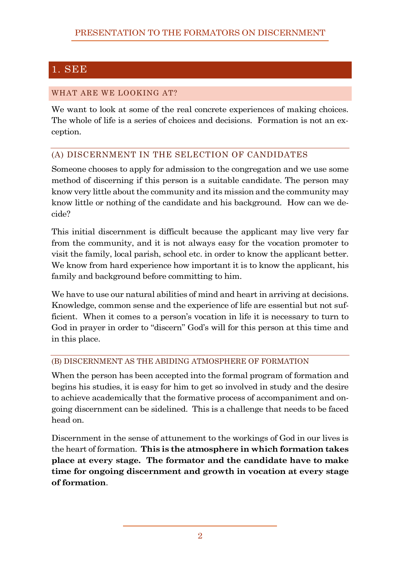# 1. SEE

#### WHAT ARE WE LOOKING AT?

We want to look at some of the real concrete experiences of making choices. The whole of life is a series of choices and decisions. Formation is not an exception.

### (A) DISCERNMENT IN THE SELECTION OF CANDIDATES

Someone chooses to apply for admission to the congregation and we use some method of discerning if this person is a suitable candidate. The person may know very little about the community and its mission and the community may know little or nothing of the candidate and his background. How can we decide?

This initial discernment is difficult because the applicant may live very far from the community, and it is not always easy for the vocation promoter to visit the family, local parish, school etc. in order to know the applicant better. We know from hard experience how important it is to know the applicant, his family and background before committing to him.

We have to use our natural abilities of mind and heart in arriving at decisions. Knowledge, common sense and the experience of life are essential but not sufficient. When it comes to a person's vocation in life it is necessary to turn to God in prayer in order to "discern" God's will for this person at this time and in this place.

#### (B) DISCERNMENT AS THE ABIDING ATMOSPHERE OF FORMATION

When the person has been accepted into the formal program of formation and begins his studies, it is easy for him to get so involved in study and the desire to achieve academically that the formative process of accompaniment and ongoing discernment can be sidelined. This is a challenge that needs to be faced head on.

Discernment in the sense of attunement to the workings of God in our lives is the heart of formation. **This is the atmosphere in which formation takes place at every stage. The formator and the candidate have to make time for ongoing discernment and growth in vocation at every stage of formation**.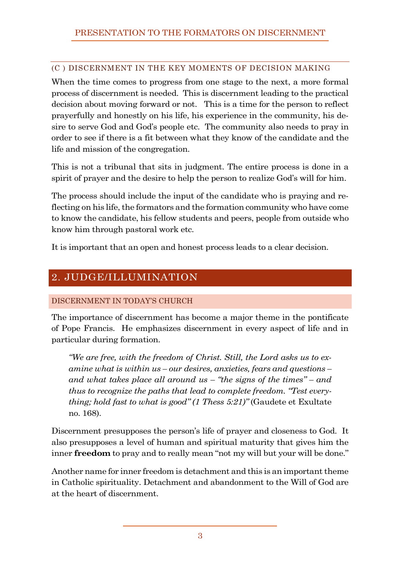#### (C ) DISCERNMENT IN THE KEY MOMENTS OF DECISION MAKING

When the time comes to progress from one stage to the next, a more formal process of discernment is needed. This is discernment leading to the practical decision about moving forward or not. This is a time for the person to reflect prayerfully and honestly on his life, his experience in the community, his desire to serve God and God's people etc. The community also needs to pray in order to see if there is a fit between what they know of the candidate and the life and mission of the congregation.

This is not a tribunal that sits in judgment. The entire process is done in a spirit of prayer and the desire to help the person to realize God's will for him.

The process should include the input of the candidate who is praying and reflecting on his life, the formators and the formation community who have come to know the candidate, his fellow students and peers, people from outside who know him through pastoral work etc.

It is important that an open and honest process leads to a clear decision.

## 2. JUDGE/ILLUMINATION

### DISCERNMENT IN TODAY'S CHURCH

The importance of discernment has become a major theme in the pontificate of Pope Francis. He emphasizes discernment in every aspect of life and in particular during formation.

*"We are free, with the freedom of Christ. Still, the Lord asks us to examine what is within us – our desires, anxieties, fears and questions – and what takes place all around us – "the signs of the times" – and thus to recognize the paths that lead to complete freedom. "Test everything; hold fast to what is good" (1 Thess 5:21)"* (Gaudete et Exultate no. 168).

Discernment presupposes the person's life of prayer and closeness to God. It also presupposes a level of human and spiritual maturity that gives him the inner **freedom** to pray and to really mean "not my will but your will be done."

Another name for inner freedom is detachment and this is an important theme in Catholic spirituality. Detachment and abandonment to the Will of God are at the heart of discernment.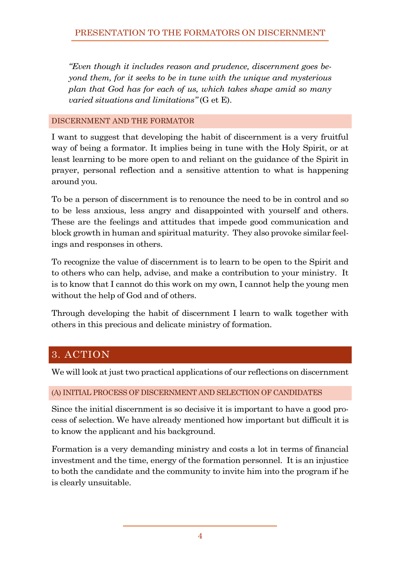*"Even though it includes reason and prudence, discernment goes beyond them, for it seeks to be in tune with the unique and mysterious plan that God has for each of us, which takes shape amid so many varied situations and limitations"* (G et E).

#### DISCERNMENT AND THE FORMATOR

I want to suggest that developing the habit of discernment is a very fruitful way of being a formator. It implies being in tune with the Holy Spirit, or at least learning to be more open to and reliant on the guidance of the Spirit in prayer, personal reflection and a sensitive attention to what is happening around you.

To be a person of discernment is to renounce the need to be in control and so to be less anxious, less angry and disappointed with yourself and others. These are the feelings and attitudes that impede good communication and block growth in human and spiritual maturity. They also provoke similar feelings and responses in others.

To recognize the value of discernment is to learn to be open to the Spirit and to others who can help, advise, and make a contribution to your ministry. It is to know that I cannot do this work on my own, I cannot help the young men without the help of God and of others.

Through developing the habit of discernment I learn to walk together with others in this precious and delicate ministry of formation.

## 3. ACTION

We will look at just two practical applications of our reflections on discernment

#### (A) INITIAL PROCESS OF DISCERNMENT AND SELECTION OF CANDIDATES

Since the initial discernment is so decisive it is important to have a good process of selection. We have already mentioned how important but difficult it is to know the applicant and his background.

Formation is a very demanding ministry and costs a lot in terms of financial investment and the time, energy of the formation personnel. It is an injustice to both the candidate and the community to invite him into the program if he is clearly unsuitable.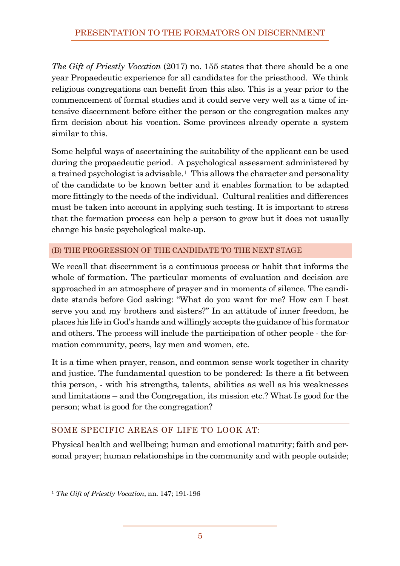## PRESENTATION TO THE FORMATORS ON DISCERNMENT

*The Gift of Priestly Vocation* (2017) no. 155 states that there should be a one year Propaedeutic experience for all candidates for the priesthood. We think religious congregations can benefit from this also. This is a year prior to the commencement of formal studies and it could serve very well as a time of intensive discernment before either the person or the congregation makes any firm decision about his vocation. Some provinces already operate a system similar to this.

Some helpful ways of ascertaining the suitability of the applicant can be used during the propaedeutic period. A psychological assessment administered by a trained psychologist is advisable.1 This allows the character and personality of the candidate to be known better and it enables formation to be adapted more fittingly to the needs of the individual. Cultural realities and differences must be taken into account in applying such testing. It is important to stress that the formation process can help a person to grow but it does not usually change his basic psychological make-up.

#### (B) THE PROGRESSION OF THE CANDIDATE TO THE NEXT STAGE

We recall that discernment is a continuous process or habit that informs the whole of formation. The particular moments of evaluation and decision are approached in an atmosphere of prayer and in moments of silence. The candidate stands before God asking: "What do you want for me? How can I best serve you and my brothers and sisters?" In an attitude of inner freedom, he places his life in God's hands and willingly accepts the guidance of his formator and others. The process will include the participation of other people - the formation community, peers, lay men and women, etc.

It is a time when prayer, reason, and common sense work together in charity and justice. The fundamental question to be pondered: Is there a fit between this person, - with his strengths, talents, abilities as well as his weaknesses and limitations – and the Congregation, its mission etc.? What Is good for the person; what is good for the congregation?

### SOME SPECIFIC AREAS OF LIFE TO LOOK AT:

Physical health and wellbeing; human and emotional maturity; faith and personal prayer; human relationships in the community and with people outside;

<sup>1</sup> *The Gift of Priestly Vocation*, nn. 147; 191-196